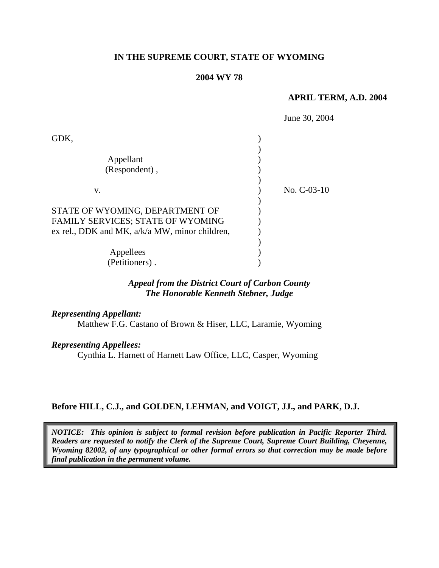### **IN THE SUPREME COURT, STATE OF WYOMING**

#### **2004 WY 78**

#### **APRIL TERM, A.D. 2004**

|                                                                                                                          | June 30, 2004 |
|--------------------------------------------------------------------------------------------------------------------------|---------------|
| GDK,<br>Appellant<br>(Respondent),                                                                                       |               |
| V.                                                                                                                       | No. C-03-10   |
| STATE OF WYOMING, DEPARTMENT OF<br>FAMILY SERVICES; STATE OF WYOMING<br>ex rel., DDK and MK, $a/k/a$ MW, minor children, |               |
| Appellees<br>(Petitioners).                                                                                              |               |

# *Appeal from the District Court of Carbon County The Honorable Kenneth Stebner, Judge*

*Representing Appellant:* 

Matthew F.G. Castano of Brown & Hiser, LLC, Laramie, Wyoming

*Representing Appellees:*

Cynthia L. Harnett of Harnett Law Office, LLC, Casper, Wyoming

# **Before HILL, C.J., and GOLDEN, LEHMAN, and VOIGT, JJ., and PARK, D.J.**

*NOTICE: This opinion is subject to formal revision before publication in Pacific Reporter Third. Readers are requested to notify the Clerk of the Supreme Court, Supreme Court Building, Cheyenne, Wyoming 82002, of any typographical or other formal errors so that correction may be made before final publication in the permanent volume.*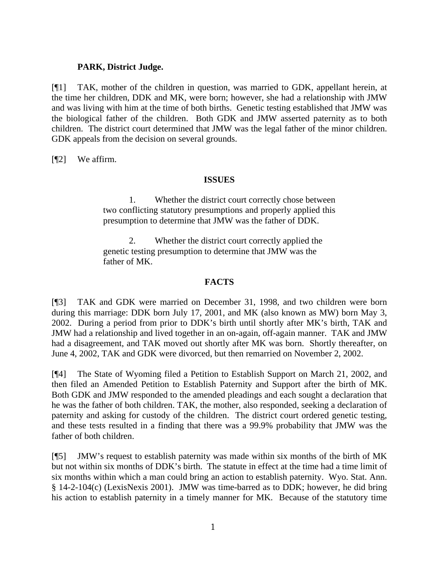# **PARK, District Judge.**

[¶1] TAK, mother of the children in question, was married to GDK, appellant herein, at the time her children, DDK and MK, were born; however, she had a relationship with JMW and was living with him at the time of both births. Genetic testing established that JMW was the biological father of the children. Both GDK and JMW asserted paternity as to both children. The district court determined that JMW was the legal father of the minor children. GDK appeals from the decision on several grounds.

[¶2] We affirm.

### **ISSUES**

1. Whether the district court correctly chose between two conflicting statutory presumptions and properly applied this presumption to determine that JMW was the father of DDK.

2. Whether the district court correctly applied the genetic testing presumption to determine that JMW was the father of MK.

### **FACTS**

[¶3] TAK and GDK were married on December 31, 1998, and two children were born during this marriage: DDK born July 17, 2001, and MK (also known as MW) born May 3, 2002. During a period from prior to DDK's birth until shortly after MK's birth, TAK and JMW had a relationship and lived together in an on-again, off-again manner. TAK and JMW had a disagreement, and TAK moved out shortly after MK was born. Shortly thereafter, on June 4, 2002, TAK and GDK were divorced, but then remarried on November 2, 2002.

[¶4] The State of Wyoming filed a Petition to Establish Support on March 21, 2002, and then filed an Amended Petition to Establish Paternity and Support after the birth of MK. Both GDK and JMW responded to the amended pleadings and each sought a declaration that he was the father of both children. TAK, the mother, also responded, seeking a declaration of paternity and asking for custody of the children. The district court ordered genetic testing, and these tests resulted in a finding that there was a 99.9% probability that JMW was the father of both children.

[¶5] JMW's request to establish paternity was made within six months of the birth of MK but not within six months of DDK's birth. The statute in effect at the time had a time limit of six months within which a man could bring an action to establish paternity. Wyo. Stat. Ann. § 14-2-104(c) (LexisNexis 2001). JMW was time-barred as to DDK; however, he did bring his action to establish paternity in a timely manner for MK. Because of the statutory time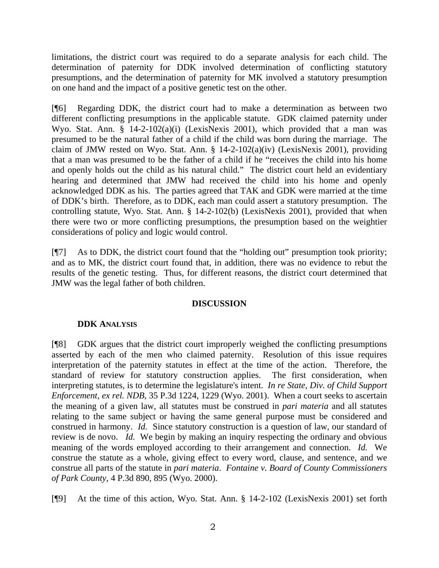limitations, the district court was required to do a separate analysis for each child. The determination of paternity for DDK involved determination of conflicting statutory presumptions, and the determination of paternity for MK involved a statutory presumption on one hand and the impact of a positive genetic test on the other.

[¶6] Regarding DDK, the district court had to make a determination as between two different conflicting presumptions in the applicable statute. GDK claimed paternity under Wyo. Stat. Ann. § 14-2-102(a)(i) (LexisNexis 2001), which provided that a man was presumed to be the natural father of a child if the child was born during the marriage. The claim of JMW rested on Wyo. Stat. Ann. § 14-2-102(a)(iv) (LexisNexis 2001), providing that a man was presumed to be the father of a child if he "receives the child into his home and openly holds out the child as his natural child." The district court held an evidentiary hearing and determined that JMW had received the child into his home and openly acknowledged DDK as his. The parties agreed that TAK and GDK were married at the time of DDK's birth. Therefore, as to DDK, each man could assert a statutory presumption. The controlling statute, Wyo. Stat. Ann. § 14-2-102(b) (LexisNexis 2001), provided that when there were two or more conflicting presumptions, the presumption based on the weightier considerations of policy and logic would control.

[¶7] As to DDK, the district court found that the "holding out" presumption took priority; and as to MK, the district court found that, in addition, there was no evidence to rebut the results of the genetic testing. Thus, for different reasons, the district court determined that JMW was the legal father of both children.

# **DISCUSSION**

# **DDK ANALYSIS**

[¶8] GDK argues that the district court improperly weighed the conflicting presumptions asserted by each of the men who claimed paternity. Resolution of this issue requires interpretation of the paternity statutes in effect at the time of the action. Therefore, the standard of review for statutory construction applies. The first consideration, when interpreting statutes, is to determine the legislature's intent. *In re State, Div. of Child Support Enforcement, ex rel. NDB*, 35 P.3d 1224, 1229 (Wyo. 2001). When a court seeks to ascertain the meaning of a given law, all statutes must be construed in *pari materia* and all statutes relating to the same subject or having the same general purpose must be considered and construed in harmony. *Id.* Since statutory construction is a question of law, our standard of review is de novo. *Id.* We begin by making an inquiry respecting the ordinary and obvious meaning of the words employed according to their arrangement and connection. *Id.* We construe the statute as a whole, giving effect to every word, clause, and sentence, and we construe all parts of the statute in *pari materia*. *Fontaine v. Board of County Commissioners of Park County*, 4 P.3d 890, 895 (Wyo. 2000).

[¶9] At the time of this action, Wyo. Stat. Ann. § 14-2-102 (LexisNexis 2001) set forth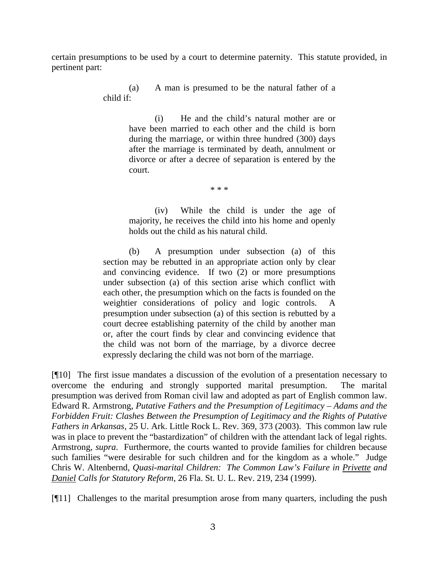certain presumptions to be used by a court to determine paternity. This statute provided, in pertinent part:

> (a) A man is presumed to be the natural father of a child if:

> > (i) He and the child's natural mother are or have been married to each other and the child is born during the marriage, or within three hundred (300) days after the marriage is terminated by death, annulment or divorce or after a decree of separation is entered by the court.

> > > \* \* \*

(iv) While the child is under the age of majority, he receives the child into his home and openly holds out the child as his natural child.

(b) A presumption under subsection (a) of this section may be rebutted in an appropriate action only by clear and convincing evidence. If two (2) or more presumptions under subsection (a) of this section arise which conflict with each other, the presumption which on the facts is founded on the weightier considerations of policy and logic controls. A presumption under subsection (a) of this section is rebutted by a court decree establishing paternity of the child by another man or, after the court finds by clear and convincing evidence that the child was not born of the marriage, by a divorce decree expressly declaring the child was not born of the marriage.

[¶10] The first issue mandates a discussion of the evolution of a presentation necessary to overcome the enduring and strongly supported marital presumption. The marital presumption was derived from Roman civil law and adopted as part of English common law. Edward R. Armstrong, *Putative Fathers and the Presumption of Legitimacy – Adams and the Forbidden Fruit: Clashes Between the Presumption of Legitimacy and the Rights of Putative Fathers in Arkansas,* 25 U. Ark. Little Rock L. Rev. 369, 373 (2003). This common law rule was in place to prevent the "bastardization" of children with the attendant lack of legal rights. Armstrong, *supra*. Furthermore, the courts wanted to provide families for children because such families "were desirable for such children and for the kingdom as a whole." Judge Chris W. Altenbernd, *Quasi-marital Children: The Common Law's Failure in Privette and Daniel Calls for Statutory Reform,* 26 Fla. St. U. L. Rev. 219, 234 (1999).

[¶11] Challenges to the marital presumption arose from many quarters, including the push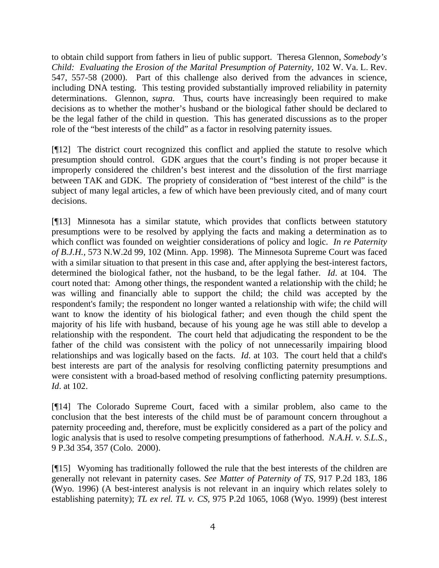to obtain child support from fathers in lieu of public support. Theresa Glennon, *Somebody's Child: Evaluating the Erosion of the Marital Presumption of Paternity, 102 W. Va. L. Rev.* 547, 557-58 (2000). Part of this challenge also derived from the advances in science, including DNA testing. This testing provided substantially improved reliability in paternity determinations. Glennon, *supra.* Thus, courts have increasingly been required to make decisions as to whether the mother's husband or the biological father should be declared to be the legal father of the child in question. This has generated discussions as to the proper role of the "best interests of the child" as a factor in resolving paternity issues.

[¶12] The district court recognized this conflict and applied the statute to resolve which presumption should control. GDK argues that the court's finding is not proper because it improperly considered the children's best interest and the dissolution of the first marriage between TAK and GDK. The propriety of consideration of "best interest of the child" is the subject of many legal articles, a few of which have been previously cited, and of many court decisions.

[¶13] Minnesota has a similar statute, which provides that conflicts between statutory presumptions were to be resolved by applying the facts and making a determination as to which conflict was founded on weightier considerations of policy and logic. *In re Paternity of B.J.H.,* 573 N.W.2d 99, 102 (Minn. App. 1998). The Minnesota Supreme Court was faced with a similar situation to that present in this case and, after applying the best-interest factors, determined the biological father, not the husband, to be the legal father. *Id*. at 104. The court noted that: Among other things, the respondent wanted a relationship with the child; he was willing and financially able to support the child; the child was accepted by the respondent's family; the respondent no longer wanted a relationship with wife; the child will want to know the identity of his biological father; and even though the child spent the majority of his life with husband, because of his young age he was still able to develop a relationship with the respondent. The court held that adjudicating the respondent to be the father of the child was consistent with the policy of not unnecessarily impairing blood relationships and was logically based on the facts. *Id*. at 103. The court held that a child's best interests are part of the analysis for resolving conflicting paternity presumptions and were consistent with a broad-based method of resolving conflicting paternity presumptions. *Id*. at 102.

[¶14] The Colorado Supreme Court, faced with a similar problem, also came to the conclusion that the best interests of the child must be of paramount concern throughout a paternity proceeding and, therefore, must be explicitly considered as a part of the policy and logic analysis that is used to resolve competing presumptions of fatherhood. *N.A.H. v. S.L.S.,* 9 P.3d 354, 357 (Colo. 2000).

[¶15] Wyoming has traditionally followed the rule that the best interests of the children are generally not relevant in paternity cases. *See Matter of Paternity of TS,* 917 P.2d 183, 186 (Wyo. 1996) (A best-interest analysis is not relevant in an inquiry which relates solely to establishing paternity); *TL ex rel. TL v. CS,* 975 P.2d 1065, 1068 (Wyo. 1999) (best interest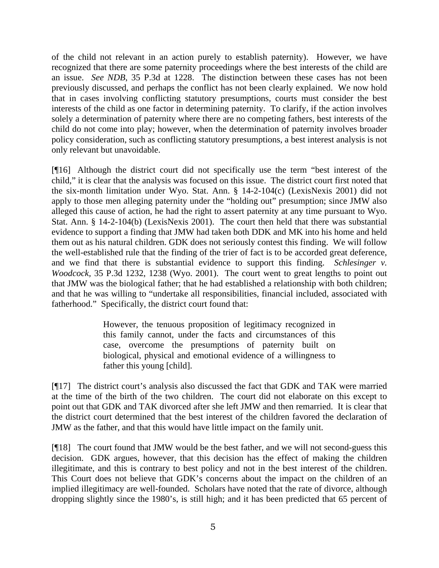of the child not relevant in an action purely to establish paternity). However, we have recognized that there are some paternity proceedings where the best interests of the child are an issue. *See NDB*, 35 P.3d at 1228. The distinction between these cases has not been previously discussed, and perhaps the conflict has not been clearly explained. We now hold that in cases involving conflicting statutory presumptions, courts must consider the best interests of the child as one factor in determining paternity. To clarify, if the action involves solely a determination of paternity where there are no competing fathers, best interests of the child do not come into play; however, when the determination of paternity involves broader policy consideration, such as conflicting statutory presumptions, a best interest analysis is not only relevant but unavoidable.

[¶16] Although the district court did not specifically use the term "best interest of the child," it is clear that the analysis was focused on this issue. The district court first noted that the six-month limitation under Wyo. Stat. Ann. § 14-2-104(c) (LexisNexis 2001) did not apply to those men alleging paternity under the "holding out" presumption; since JMW also alleged this cause of action, he had the right to assert paternity at any time pursuant to Wyo. Stat. Ann. § 14-2-104(b) (LexisNexis 2001). The court then held that there was substantial evidence to support a finding that JMW had taken both DDK and MK into his home and held them out as his natural children. GDK does not seriously contest this finding. We will follow the well-established rule that the finding of the trier of fact is to be accorded great deference, and we find that there is substantial evidence to support this finding. *Schlesinger v. Woodcock*, 35 P.3d 1232, 1238 (Wyo. 2001). The court went to great lengths to point out that JMW was the biological father; that he had established a relationship with both children; and that he was willing to "undertake all responsibilities, financial included, associated with fatherhood." Specifically, the district court found that:

> However, the tenuous proposition of legitimacy recognized in this family cannot, under the facts and circumstances of this case, overcome the presumptions of paternity built on biological, physical and emotional evidence of a willingness to father this young [child].

[¶17] The district court's analysis also discussed the fact that GDK and TAK were married at the time of the birth of the two children. The court did not elaborate on this except to point out that GDK and TAK divorced after she left JMW and then remarried. It is clear that the district court determined that the best interest of the children favored the declaration of JMW as the father, and that this would have little impact on the family unit.

[¶18] The court found that JMW would be the best father, and we will not second-guess this decision. GDK argues, however, that this decision has the effect of making the children illegitimate, and this is contrary to best policy and not in the best interest of the children. This Court does not believe that GDK's concerns about the impact on the children of an implied illegitimacy are well-founded. Scholars have noted that the rate of divorce, although dropping slightly since the 1980's, is still high; and it has been predicted that 65 percent of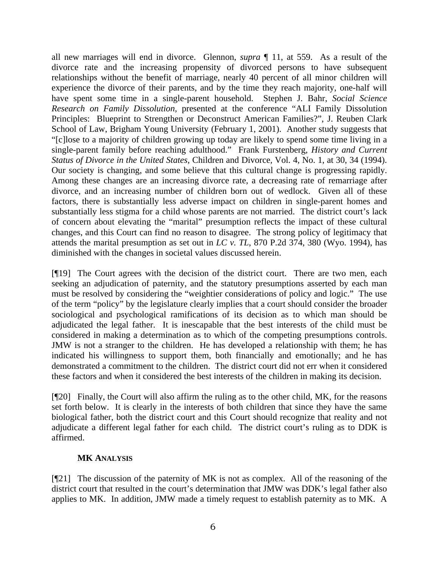all new marriages will end in divorce. Glennon, *supra* ¶ 11, at 559. As a result of the divorce rate and the increasing propensity of divorced persons to have subsequent relationships without the benefit of marriage, nearly 40 percent of all minor children will experience the divorce of their parents, and by the time they reach majority, one-half will have spent some time in a single-parent household. Stephen J. Bahr, *Social Science Research on Family Dissolution,* presented at the conference "ALI Family Dissolution Principles: Blueprint to Strengthen or Deconstruct American Families?", J. Reuben Clark School of Law, Brigham Young University (February 1, 2001). Another study suggests that "[c]lose to a majority of children growing up today are likely to spend some time living in a single-parent family before reaching adulthood." Frank Furstenberg, *History and Current Status of Divorce in the United States,* Children and Divorce*,* Vol. 4, No. 1, at 30, 34 (1994). Our society is changing, and some believe that this cultural change is progressing rapidly. Among these changes are an increasing divorce rate, a decreasing rate of remarriage after divorce, and an increasing number of children born out of wedlock. Given all of these factors, there is substantially less adverse impact on children in single-parent homes and substantially less stigma for a child whose parents are not married. The district court's lack of concern about elevating the "marital" presumption reflects the impact of these cultural changes, and this Court can find no reason to disagree. The strong policy of legitimacy that attends the marital presumption as set out in *LC v. TL*, 870 P.2d 374, 380 (Wyo. 1994), has diminished with the changes in societal values discussed herein.

[¶19] The Court agrees with the decision of the district court. There are two men, each seeking an adjudication of paternity, and the statutory presumptions asserted by each man must be resolved by considering the "weightier considerations of policy and logic." The use of the term "policy" by the legislature clearly implies that a court should consider the broader sociological and psychological ramifications of its decision as to which man should be adjudicated the legal father. It is inescapable that the best interests of the child must be considered in making a determination as to which of the competing presumptions controls. JMW is not a stranger to the children. He has developed a relationship with them; he has indicated his willingness to support them, both financially and emotionally; and he has demonstrated a commitment to the children. The district court did not err when it considered these factors and when it considered the best interests of the children in making its decision.

[¶20] Finally, the Court will also affirm the ruling as to the other child, MK, for the reasons set forth below. It is clearly in the interests of both children that since they have the same biological father, both the district court and this Court should recognize that reality and not adjudicate a different legal father for each child. The district court's ruling as to DDK is affirmed.

# **MK ANALYSIS**

[¶21] The discussion of the paternity of MK is not as complex. All of the reasoning of the district court that resulted in the court's determination that JMW was DDK's legal father also applies to MK. In addition, JMW made a timely request to establish paternity as to MK. A